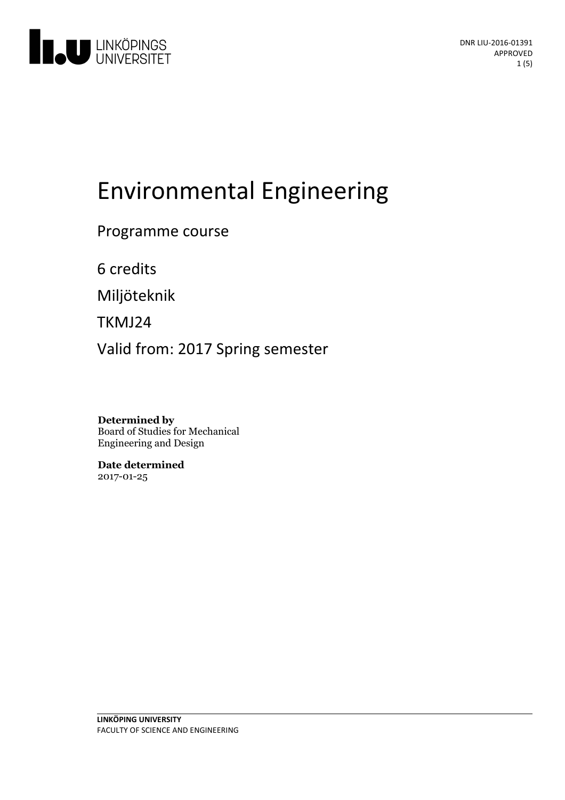

# Environmental Engineering

Programme course

6 credits

Miljöteknik

TKMJ24

Valid from: 2017 Spring semester

**Determined by** Board of Studies for Mechanical Engineering and Design

**Date determined** 2017-01-25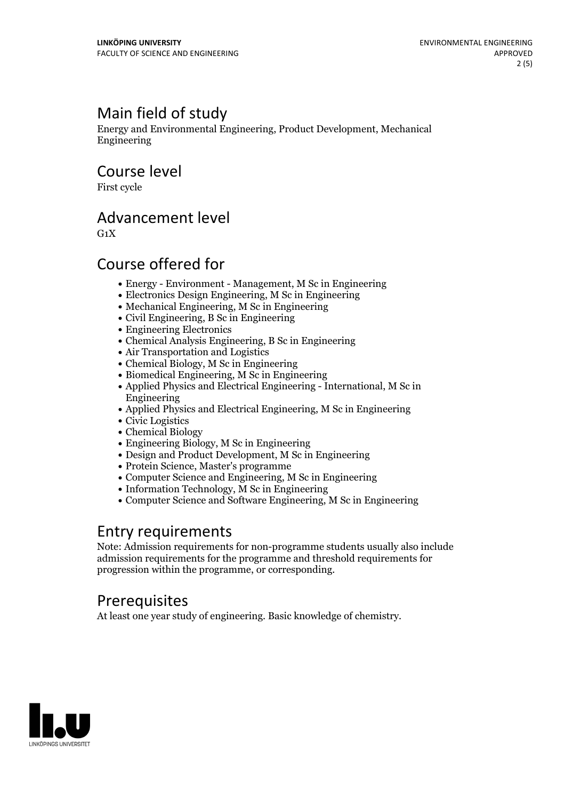## Main field of study

Energy and Environmental Engineering, Product Development, Mechanical Engineering

Course level

First cycle

#### Advancement level

 $G_1X$ 

#### Course offered for

- Energy Environment Management, M Sc in Engineering
- Electronics Design Engineering, M Sc in Engineering
- Mechanical Engineering, M Sc in Engineering
- Civil Engineering, B Sc in Engineering
- Engineering Electronics
- Chemical Analysis Engineering, B Sc in Engineering
- Air Transportation and Logistics
- Chemical Biology, M Sc in Engineering
- Biomedical Engineering, M Sc in Engineering
- Applied Physics and Electrical Engineering International, M Sc in Engineering
- Applied Physics and Electrical Engineering, M Sc in Engineering
- Civic Logistics
- Chemical Biology
- Engineering Biology, M Sc in Engineering
- Design and Product Development, M Sc in Engineering
- Protein Science, Master's programme
- Computer Science and Engineering, M Sc in Engineering
- Information Technology, M Sc in Engineering
- Computer Science and Software Engineering, M Sc in Engineering

#### Entry requirements

Note: Admission requirements for non-programme students usually also include admission requirements for the programme and threshold requirements for progression within the programme, or corresponding.

#### **Prerequisites**

At least one year study of engineering. Basic knowledge of chemistry.

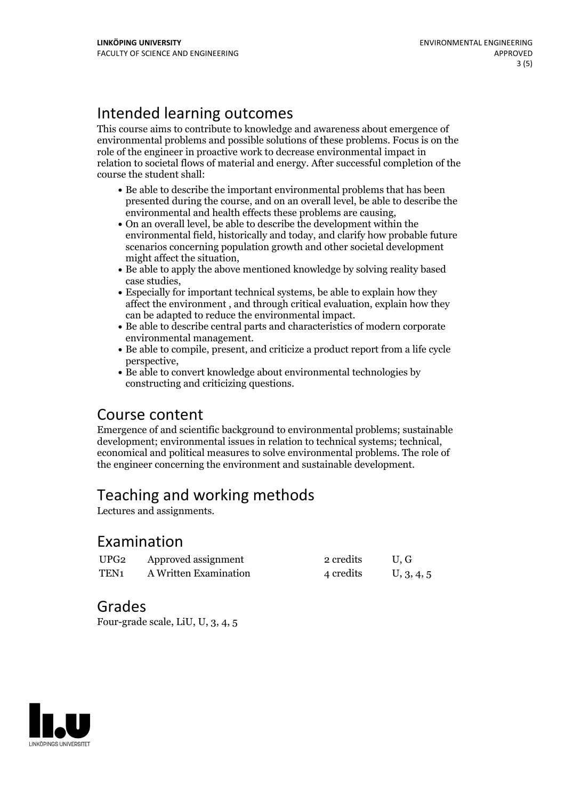# Intended learning outcomes

This course aims to contribute to knowledge and awareness about emergence of environmental problems and possible solutions of these problems. Focus is on the role of the engineer in proactive work to decrease environmental impact in relation to societal flows of material and energy. After successful completion of the course the student shall:

- Be able to describe the important environmental problems that has been presented during the course, and on an overall level, be able to describe the environmental and health effects these problems are causing,<br>• On an overall level, be able to describe the development within the
- environmental field, historically and today, and clarify how probable future scenarios concerning population growth and other societal development might affect the situation,<br>• Be able to apply the above mentioned knowledge by solving reality based
- case studies,<br>• Especially for important technical systems, be able to explain how they
- affect the environment , and through critical evaluation, explain how they
- can be adapted to reduce the environmental impact.<br>• Be able to describe central parts and characteristics of modern corporate environmental management.<br>• Be able to compile, present, and criticize a product report from a life cycle
- perspective,<br>• Be able to convert knowledge about environmental technologies by
- constructing and criticizing questions.

#### Course content

Emergence of and scientific background to environmental problems; sustainable development; environmental issues in relation to technical systems; technical, economical and political measures to solve environmental problems. The role of the engineer concerning the environment and sustainable development.

# Teaching and working methods

Lectures and assignments.

#### Examination

| UPG <sub>2</sub> | Approved assignment   | 2 credits | U.G        |
|------------------|-----------------------|-----------|------------|
| TEN <sub>1</sub> | A Written Examination | 4 credits | U, 3, 4, 5 |

#### Grades

Four-grade scale, LiU, U, 3, 4, 5

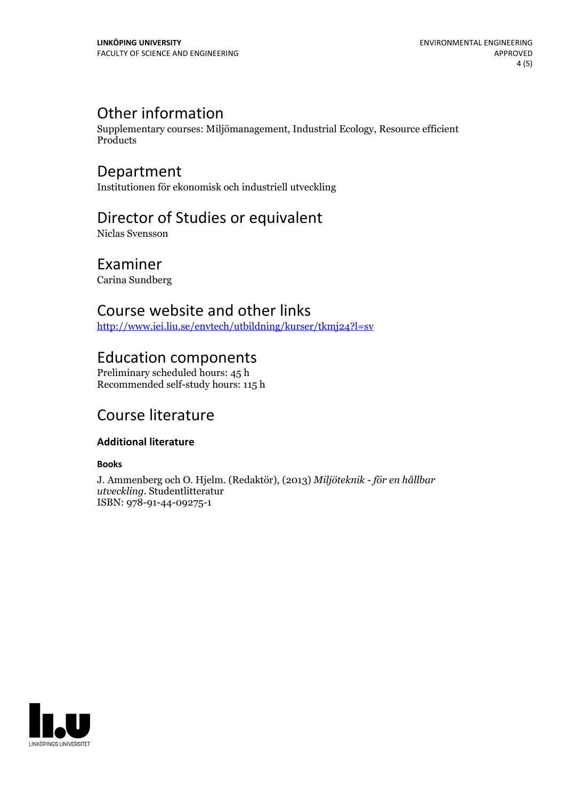### Other information

Supplementary courses: Miljömanagement, Industrial Ecology, Resource efficient Products

# Department

Institutionen för ekonomisk och industriell utveckling

## Director of Studies or equivalent

Niclas Svensson

#### Examiner

Carina Sundberg

#### Course website and other links

<http://www.iei.liu.se/envtech/utbildning/kurser/tkmj24?l=sv>

#### Education components

Preliminary scheduled hours: 45 h Recommended self-study hours: 115 h

### Course literature

#### **Additional literature**

#### **Books**

J. Ammenberg och O. Hjelm. (Redaktör), (2013) *Miljöteknik - för en hållbar utveckling.* Studentlitteratur ISBN: 978-91-44-09275-1